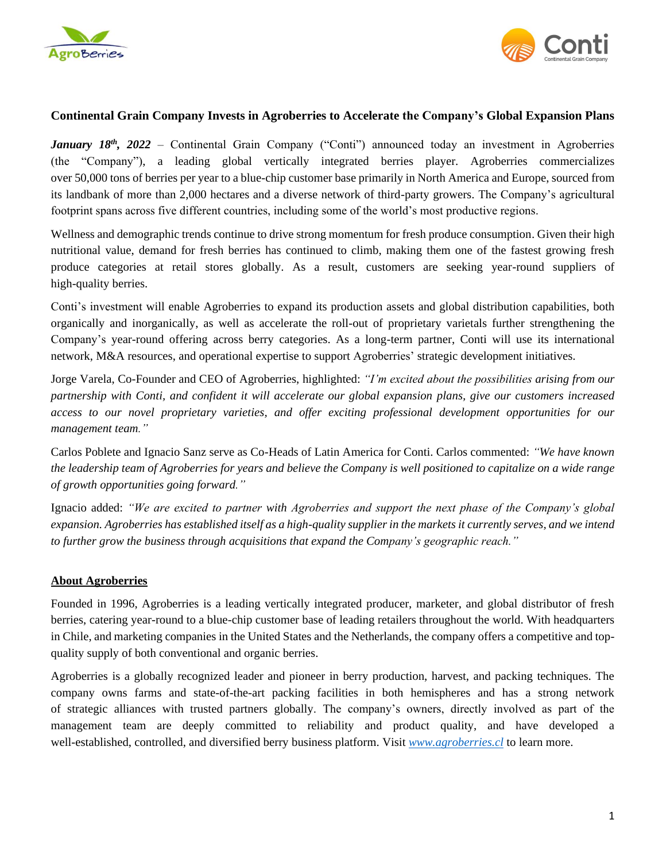



## **Continental Grain Company Invests in Agroberries to Accelerate the Company's Global Expansion Plans**

*January 18th, 2022* – Continental Grain Company ("Conti") announced today an investment in Agroberries (the "Company"), a leading global vertically integrated berries player. Agroberries commercializes over 50,000 tons of berries per year to a blue-chip customer base primarily in North America and Europe, sourced from its landbank of more than 2,000 hectares and a diverse network of third-party growers. The Company's agricultural footprint spans across five different countries, including some of the world's most productive regions.

Wellness and demographic trends continue to drive strong momentum for fresh produce consumption. Given their high nutritional value, demand for fresh berries has continued to climb, making them one of the fastest growing fresh produce categories at retail stores globally. As a result, customers are seeking year-round suppliers of high-quality berries.

Conti's investment will enable Agroberries to expand its production assets and global distribution capabilities, both organically and inorganically, as well as accelerate the roll-out of proprietary varietals further strengthening the Company's year-round offering across berry categories. As a long-term partner, Conti will use its international network, M&A resources, and operational expertise to support Agroberries' strategic development initiatives.

Jorge Varela, Co-Founder and CEO of Agroberries, highlighted: *"I'm excited about the possibilities arising from our partnership with Conti, and confident it will accelerate our global expansion plans, give our customers increased access to our novel proprietary varieties, and offer exciting professional development opportunities for our management team."* 

Carlos Poblete and Ignacio Sanz serve as Co-Heads of Latin America for Conti. Carlos commented: *"We have known the leadership team of Agroberries for years and believe the Company is well positioned to capitalize on a wide range of growth opportunities going forward."*

Ignacio added: *"We are excited to partner with Agroberries and support the next phase of the Company's global expansion. Agroberries has established itself as a high-quality supplier in the markets it currently serves, and we intend to further grow the business through acquisitions that expand the Company's geographic reach."*

## **About Agroberries**

Founded in 1996, Agroberries is a leading vertically integrated producer, marketer, and global distributor of fresh berries, catering year-round to a blue-chip customer base of leading retailers throughout the world. With headquarters in Chile, and marketing companies in the United States and the Netherlands, the company offers a competitive and topquality supply of both conventional and organic berries.

Agroberries is a globally recognized leader and pioneer in berry production, harvest, and packing techniques. The company owns farms and state-of-the-art packing facilities in both hemispheres and has a strong network of strategic alliances with trusted partners globally. The company's owners, directly involved as part of the management team are deeply committed to reliability and product quality, and have developed a well-established, controlled, and diversified berry business platform. Visit *[www.agroberries.cl](http://www.agroberries.cl/)* to learn more.